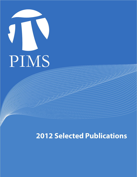

**2012 Selected Publications**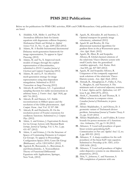## **PIMS 2012 Publications**

Below we list publications for PIMS CRG activities, PDFs and CNRS Researchers. Only publications dated 2012 are listed.

- **1.** Abdallah, N.B., Mellet A. and Puel, M. Anomalous diffusion limit for kinetic equations with degenerate collision frequency. *Mathematical Models and Methods in Applied Sciences* Vol. 21, No. 11, pp. 2249-2262 (2012)
- **2.** Adams, M. A flexible Incremental/decremental Delaunay mesh-generation framework for image representation, To appear in *Signal Processing*, (2012)
- **3.** Adams, M. and Tu, X. Improved mesh models of images through the explicit representation of discontinuities, submitted to *IEEE Canadian Journal of Electrical and Computer Engineering* (2012)
- **4.** Adams, M. and Li, P. An effective mesh-generation strategy for image representation using data-dependent triangulation. Submitted to *IEEE Transactions on Image Processing* (2012)
- **5.** Adcock, B. and Hansen, A.C. A generalized sampling theorem for stable reconstructions in arbitrary bases. *J. Fourier Anal. Appl*. 18(4), pp 685-716 (2012)
- **6.** Adcock, B. and Hansen, A.C. Stable reconstructions in Hilbert spaces and the resolution of the Gibbs phenomenon. *Appl. Comput. Harm. Anal.* Vol. 32 357-388
- **7.** Adcock, B. and Huybrechs, D. On the resolution power of Fourier extensions for oscillatory functions. Submitted to *J. Comput. Phys.* (2012)
- **8.** Adem, A. and Gómez, J. Equivariant K-theory for Lie Group Actions with Maximal Rank *Isotropy. Journal of Topology*, Vol. 5, No. 2, pp. 431-457 (2012)
- **9.** Adem, A. and Gómez, J. On the Structure of Spaces of Commuting Elements in Compact Lie Groups. To appear in Proceedings Configuration Spaces 2010, Cenro De Girogi (Birkhauser). *arXiv*: 1203.5439v1 (2012)
- **10.** Agarwal, R., Berezansky, L., Braverman, E. and Domoshnitsky, A. Nonoscillation Theory of Functional Differential Equations with Applications, Springer, New York, (2012)
- **11.** Agueh, M., Khouider, B. and Saumier, L. Optimal transport for particle image velocimetry, submitted (2012)
- **12.** Agueh M. and Bowles, M. One dimensional numerical algorithms for gradient flows in the p-Wasserstein space. *Acta Appl. Math.* (2012)
- **13.** Agueh, M., Illner, R. and Sospedra-Alfonso, R. Global classical solutions of the relativistic Vlasov-Darwin system with small Cauchy data: the generalized variables approach, *Arch. Ration. Mech. Anal* 205, pp. 827-869 (2012)
- **14.** Agueh, M. and Sospedra-Alfonso, R. Uniqueness of the compactly supported weak solutions of the relativistic Vlasov-Darwin system. Acta Appl. Math. (2012)
- **15.** Ahmadi, B., Alinaghipour, F., Fallat, S., Fan, Y., Meagher, K. and Nasserasr, S. The minimum rank of universal adjacency matrices. S. *Linear Algebra and Its Applications,* vol. 437 issue 8, pp. 2064-2076, (2012).
- **16.** Aholt, C., Sturmfels, B. and Thomas, R. A Hilbert scheme in computer vision. *Canadian Journal of Mathematics*, in press (2012)
- **17.** Akbary-Majdabadno, A. and Ghioca, D. A geometric variant of Titchmarsh divisor problem. *International Journal of Number Theory,* 8 (1), pp. 53-69 (2012)
- **18.** Akbary-Majdabadno, A. and Fodden, B. Lower bounds for power moments of L-functions. *Acta Arithmetica*, 151, pp 11-38 (2012)
- **19.** Akhunov, T. Local well posedness of quasilinear systems generalizing KdV. *Communications on Pure and Applied Anal.* 12, no. 2, pp. 899-921 (2012)
- **20.** Akhunov, T. A sharp condition for the wellposedness of the linear KdV-type equation. Submitted to *Proceedings of the AMS, arXiv:*  1209.1658. (2012)
- **21.** Akhunov, T. Local well posedness of higher order dispersive systems in one dimension. In preparation, (2012).
- **22.** Akin, V., Johnson, C. and Nasserasr, S. TPk completion of patterns with one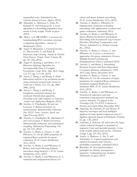unspecified entry. Submitted to the *Electronic Journal of Linear Algebra*, (2012).

- **23.** Alimadad, A., Matteson, C., Hare, W., Karanfil, O. and Finegood, D. A novel algorithm for describing population level trends in body weight. *Health*, in press (2012)
- **24.** Allali, J. et al. BRASERO: A resource for benchmarking RNA secondary structure comparison algorithms. *Advances in Bioinformatics* (2012)
- **25.** Angel, O, Benjamini, I., Gurel-Gurevich, O., Meyerovitch, T. and Peled, R. Stationary map coloring. *Annales de l'Institut Henri Poincare Probab. Statist.* Volume 48, pp. 327-342, (2012)
- **26.** Angot, P., Keating, J. and Minev, P. A Direction Splitting Algorithm for Incompressible Flow in Complex Geometries. *Comp. Meth. Appl. Mech. Engng*. Vol. 217, pp. 111-120, (2012)
- **27.** Anton, C. Deng, J. and Wong, Y. Hopf bifurcation analysis of an aeroelastic model using stochastic normal form, *Journal of Sound and Vibriance*, Vol. 331, pp. 3866- 3886, (2012)
- **28.** Anton, C. Deng, J. and Wong, Y. Symplectic numerical schemes for stochastic Hamiltonian equations. *Proceedings of the Fifth Conference on Numerical Analysis and Applications*, Bulgaria. (2012).
- **29.** Aravkin, A., Friedlander, M. and van Leeuwen, T. Robust inversion via semistochastic dimensionality reduction. *Proc. IEEE Trans. Acoustics, Speech, and Signal Processing* (2012)
- **30.** Aravkin, A., Friedlander, M., Herrmann, F, and van Leeuwen, T. Robust inversion, dimensionality reduction, and randomized sampling. *Mathematical Programming*, 134, pp. 101-125, (2012)
- **31.** Aravkin, A., Burke, J., Chiuso, A. and Pillonetto, G. On the MSE properties of empirical Bayes methods for sparse estimation, *IFAC Systems Identification*, 16(1), (2012)
- **32.** Aravkin, A., Burke, J. and Pillonetto, G. Robust and trend following Kalman smoothers using Student's t, *IFAC Systems Identification*, 16(1), (2012)
- **33.** Aravkin, A., Burke, J. and Pillonetto, G. A statistical and computational theory for

robust and sparse Kalman smoothing, *IFAC Systems Identification*, 16(1), (2012)

- **34.** Aravkin, A., Burke, J., Pillonetto, G. Optimization viewpoint on Kalman smoothing, with applications to robust and sparse estimation, submitted (2012)
- **35.** Aravkin, A., Burke, J. and Pillonetto, G. Sparse/Robust Estimation and Kalman Smoothing with Nonsmooth Log-Concave Densities: Modeling, Computation, and Theory, submitted to *J. Machine Learning Res.*, (2012)
- **36.** Aravkin, A., Burke, J., Chiuso, A. and Pillonetto, G. Convex vs nonconvex approaches for sparse estimation: GLasso, Multiple Kernel Learning and Hyperparameter Glasso, submitted (2012)
- **37.** Aravkin, A. and Burke, J. Smoothing Dynamic Systems with State-Dependent Covariance Matrices, submitted to *NIPS 2012*, Lake Tahoe, December 2012.
- **38.** Aravkin, A., Burke, J., Chiuso, A. and Pillonetto, G. On the estimation of hyper parameters for empirical Bayes estimators: maximum marginal likelihood vs. minimum MSE, *IFAC Systems Identification*, 16(1), (2012)
- **39.** Aravkin, A., Burke, J. and Pillonetto, G. Nonsmooth regression and state estimation using piecewise quadratic logconcave densities. To appear in the *Proceedings of the 51st IEEE Conference on Decision and Control*, Maui, December 2012.
- **40.** Argerami, M., Farenick, D. and Massey, P. Injective envelopes and local multiplier algebras of some spatial continuous trace C\* algebras. *Quarterly Journal of Mathematics (Oxford),*  63, pp. 1-20, (2012)
- **41.** Ashander, J., Krkosek, M. and Lewis, M. Aquaculture-induced changed to dynamics of migratory hosts and specialist parasite: A case study of pink salmon and sea lice. *Theoretical Ecology,* 5, pp. 231-252, (2012)
- **42.** Asimit, A., Badescu, A., Siu, T. and Zinchenko, Y. Capital requirements and optimal investment with solvency probability constraints, submitted (2012)
- **43.** Bauschke, H. New demiclosedness principles for (firmly) nonexpansive operators. *Computational and Analytical Mathematics*, in press (2012)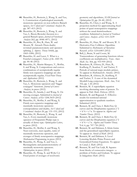- **44.** Bauschke, H., Borwein, J., Wang, X. and Yao, L. Construction of pathological maximally monotone operators on non-reflexive Banach spaces, *Set-Valued and Variational Analysis* 20, pp. 387–415 (2012)
- **45.** Bauschke, H., Borwein, J., Wang, X. and Yao, L. Brezis-Browder theorem in a general Banach space, *Journal of Functional Analysis* 262, pp. 4948–4971, (2012)
- **46.** Bauschke, H., Bot, R., Hare, W. and Moursi, W. Attouch-Thera duality revisited: paramonotonicity and operator splitting. *J. Approx. Theory* 164(8), pp. 1065–1084, (2012)
- **47.** Bauschke, H. and Lucet, Y. What is a Fenchel conjugate?, *Notices of the AMS* 59, pp. 44–46 (2012)
- **48.** Bauschke, H., Martin-Marquez, V., Moffat, S. and Wang, X. Compositions and convex combinations of asymptotically regular firmly non expansive mappings are also asymptotically regular, *Fixed Point Theory and Applications* (2012)
- **49.** Bauschke, H., Borwein, J., Wang, X. and Yao, L. Monotone operators and "bigger conjugate" functions. *Journal of Convex Analysis*, in press (2012)
- **50.** Bauschke, H., Sarada, J. and Wang, X. On moving averages. Submitted to *Journal of Convex Analysis, arXiv:* 1206.3610 (2012)
- **51.** Bauschke, H., Moffat, S. and Wang, X. Firmly non expansive mappings and maximally monotone operators: correspondence and duality, *Set-Valued and Variational Analysis* 20, pp. 131–153, (2012)
- **52.** Bauschke, H., Borwein, J., Wang, X. and Yao, L. Every maximally monotone operator of Fitzpatrick-Phelps type is actually of dense type. *Optimization Letters*, in press (2012)
- **53.** Bauschke, H., Moffat, S. and Wang, X. Near convexity, near equality, sums of maximally monotone operators, and averages of firmly nonexpansive mappings. *Mathematical Programming*, in press (2012)
- **54.** Bauschke, H., Wang, X. and Yao, L. Rectangularity and paramonotonicity of maximally monotone operators. *Optimization*, in press (2012)
- **55.** Bauschke, H., Wang, X. and Wylie C.J. Fixed points of averages of resolvents:

geometry and algorithms, *SIAM Journal on Optimization* 22, pp. 24–40, (2012)

- **56.** Bauschke, H., Chen, J. and Wang, X. A projection method for approximating fixed points of quasi nonexpansive mappings without the usual demiclosedness condition. Submitted to *Journal of Nonlinear and Convex Analysis. arXiv:* 1211.1639 (2012)
- **57.** Bauschke, H., Hare, W. and Moursi, W. A Derivative-Free CoMirror Algorithm. Submitted to *Mathematics of Operations Research. arXiv:* 1210.6403 (2012)
- **58.** Bell, J., Bruin, N and Coons, M. Transcendence of generating functions whose coefficients are multiplicative. *Trans. Amer. Math. Soc.* 364, pp. 933-959 (2012)
- **59.** Benedetto, R., Ghioca, D., Hutz, B., Kurlberg, P., Scanlon, T. and Tucker, T. Periods of rational maps modulo primes. To appear in *Mathematische Annalen.* (2012)
- **60.** Benedetto, R., Ghioca, D., Kurlberg, P. and Tucker, T. A case of the dynamical Mordell-Lang conjecture. *Math. Ann.,* Vol. 352, pp. 1-26 (2012)
- **61.** Bennett, M. A superelliptic equation involving alternating sums of powers. To appear in *Publ. Math. Debrecen*. (2012)
- **62.** Bennett, M. and Bugeaud, Y. Effective results for restricted rational approximation to quadratic numbers. Submitted (2012)
- **63.** Bennett, M. and Chen, I. Multi-Frey Qcurves and the Diophantine equation a^2 + b^6 = c^n. To appear in *Algebra and Number Theory*. (2012)
- **64.** Bennett, M. and Chen, I. Multi-Frey Qcurves and the Diophantine equation a^2 + b^6 = c^n. *Algebra and Number Theory*. Vol. 6, pp. 707-730 (2012)
- **65.** Bennett, M. and Dahmen, S. Klein forms and the generalized superelliptic equation. To appear in *Annals of Math.* (2012)
- **66.** Bennett, M. and Dahmen, S. Level Lowering Modulo Prime Powers and Generalized Fermat Equations*.* To appear in *Canad. J. Math.* (2012)
- **67.** Bennett, M. and Van Luijk, R. Squares from blocks of consecutive integers : a problem of Erdos and Graham. To appear in *Indagationes Math.* (2012)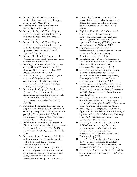- **68.** Bennett, M. and Yazdani, S. A local version of Szpiro's conjecture. To appear in *Experimental Math.* (2012)
- **69.** Bennett, M. Perfect powers with few ternary digits. Submitted (2012)
- **70.** Bennett, M., Bugeaud, Y. and Mignotte, M. Perfect powers with few binary digits and related Diophantine problems II. Submitted (2012)
- **71.** Bennett, M., Bugeaud, Y. and Mignotte, M. Perfect powers with few binary digits and related Diophantine problems. To appear in *Annali della Scuola Normale Superiore di Pisa*. (2012)
- **72.** Bennett, M., Chen, I., Dahmen, S. and Yazdani, S. Generalized Fermat equations: a miscellany. Submitted (2012)
- **73.** Bertoin, J. and Miermont, G. The cut-tree of large Galton-Watson trees and the Brownian CRT, to appear in *Ann. Appl. Probab*., *arXiv*: 1201.4081. (2012)
- **74.** Borwein, P., Choi, K. S., Martin, G., and Samuels, C. Polynomials whose coefficients are related to the Goldbach conjecture. *Algebra Number Theory Appl.* Vol. 26, pp. 33-63 (2012)
- **75.** Berenbrink, P., Cooper, C., Friedetzky, T., Friedrich, T. and Sauerwald, T. Randomized diffusion for indivisible loads. To appear in *Proc. 22nd ACM-SIAM Symposium on Discrete Algorithms.* (2012), 429-439.
- **76.** Berenbrink, P., Elsasser, R., Friedetzy, T., Nagel, L. and Sauerwald, T. Faster coupon collecting via replication with applications in gossiping. To appear in *Proc. Of the 36th International Symposium on Math. Foundations of Computer Science.* (2012), 72-83.
- **77.** Berenbrink, P., Hoefer, M., Sauerwald, T. Distributed selfish load balancing on networks. To appear in *Proc. Of 22nd ACM-SIAM Symposium on Discrete Algorithms.* (2012), 1487- 1497.
- **78.** Berezansky, L. and Braverman, E. Stability and linearization for differential equations with a distributed delay, *Functional Differential Equations* (2012)
- **79.** Berezansky, L. and Braverman, E. On the existence of positive solutions for systems of differential equations with a distributed delay, *Computers & Mathematics with Applications*, Vol. 63, pp. 1256-1265 (2012)
- **80.** Berezansky, L. and Braverman, E. On nonoscillation and stability for systems of differential equations with a distributed delay, *Automatica,* Vol. 48, pp. 612-618 (2012)
- **81.** Bigdeli,K., Hare, W. and Tesfamariam, S. Optimal design of viscous damper connectors for adjacent structures using genetic algorithm and nelder-mead algorithm. In *Proceeding of SPIE conference on Smart Structures and Materials*, (2012)
- **82.** Bigdeli, K., Hare, W., Nutini, J. and Tesfamariam, S. Optimal design of damper connectors for adjacent buildings. Submitted to *Eng. Opt.* (2012)
- **83.** Bigdeli, K., Hare, W. and Tesfamariam, S. Configuration optimization of dampers for adjacent buildings under seismic excitations. *Eng. Opt.*, in press (2012)
- **84.** Boussaïd, N., Caponigro, M., Chambrion, T. Periodic control laws for bilinear quantum systems with discrete spectrum, *Proceedings of the 2012 American Control Conference*, Montreal, Canada (2012).
- **85.** Boussaïd, N., Caponigro, M., Chambrion, T. Implementation of logical gates on infinite dimensional quantum oscillators, *Proceedings of the 2012 American Control Conference*, Montreal, Canada (2012).
- **86.** Boussaïd, N., Caponigro, M., Chambrion, T. Small time reachable set of bilinear quantum systems, *Proceedings of the 51st IEEE Conference on Decision and Control*, Maui, Hawaii (2012).
- **87.** Boussaïd, N., Caponigro, M., Chambrion, T. Approximate controllability of the Schrödinger equation with a polarizability terms, *Proceedings of the 51st IEEE Conference on Decision and Control*, Maui, Hawaii (2012).
- **88.** Boussaïd, N., Caponigro, M., Chambrion, T. Which notion of energy for bilinear quantum systems?, *Proceedings of the 4th IFAC Workshop on Lagrangian and Hamiltonian Methods for Non Linear Control*, Bertinoro, Italy (2012).
- **89.** Boussaïd, N., Caponigro, M., Chambrion, T. Weakly-coupled systems in quantum control. To appear on *IEEE Transactions on Automatic Control*. *arXiv*: 1109.1900 (2012)
- **90.** Boussaid, N., Comech, A. On spectral stability of the nonlinear Dirac equation. *Eprint. arXiv*: 1211.3336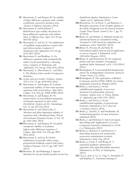- **91.** Braverman, E. and Karpuz, B. On stability of delay difference equations with variable coefficients: successive products tests. *Advances in Difference Equations*, (2012)
- **92.** Braverman, E. and Karabash, I. Bohl-Perron type stability theorems for linear difference equations with infinite delay, *J. Difference Equ. Appl*., Vol. 18, pp. 909-939 (2012)
- **93.** Braverman, E. and Liz, E. On stabilization of equilibria using predictive control with and without pulses, *Computers & Mathematics with Applications*, Vol. 64, pp. 2192-2201 (2012)
- **94.** Braverman, E. and Rodkina, A. On difference equations with asymptotically stable 2-cycles perturbed by a decaying noise, *Computers & Mathematics with Applications*, Vol. 64, pp. 2224-2232, (2012)
- **95.** Berezansky, L., Braverman, E. and Idels, L. The Mackey-Glass model of respiratory dynamics:
- **96.** review and new results, *Nonlinear Analysis TMA*, Vol. 75, pp. 6034-6052 (2012)
- **97.** Braverman, E. and Karpuz, B. Uniform exponential stability of first-order dynamic equations with several delays, *Appl. Math. Comput*., Vol. 218, pp. 10468-10485 (2012)
- **98.** Braverman, E. and Karpuz, B. On monotonicity of nonoscillation properties of dynamic equations in time scales, *Zeitschrift fur Analysis und ihre Anwendungen,*  Vol. 31, pp. 203-216 (2012)
- **99.** Braverman, E. and Zhukovskiy, S. Absolute and delay-dependent stability of equations with a distributed delay, *Discrete and Continuous Dynamical Systems A,* Vol. 32, pp. 2041-2061 (2012)
- **100.**Braverman, E. and Karpuz, B. On global asymptotic stability of nonlinear higher-order difference equations, *J. Comput. Appl. Math.* Vol. 236, pp. 2803- 2812 (2012)
- **101.**Braverman, E. and Liz, B. Global stabilization of periodic orbits using a proportional feedback control with pulses, *Nonlinear Dynamics,* Vol. 67, pp. 2467-2475 (2012)
- **102.**Bremner, M. and Madariaga, S. Special identities for the pre-Jordan product in the free

dendriform algebra. Submitted to *Linear Algebra and its Applications* (2012).

- **103.**Brownlowe, N., an Huef, A. and Raeburn, I. Boundary quotients of the Toeplitz algebra of the affine semigroup over the natural numbers. *Ergodic Theory Dynam. Systems* 2, No. 1, pp. 35- 62 (2012)
- **104.**Bruin, N. and Molnar, A. Minimal models for rational functions in a dynamical setting. Accepted to *LMS Journal for computation and mathematics*. *arXiv:* 1204.4967 (2012)
- **105.**Bruin, N., Poonen, B. and Stoll, M. Generalized explicit descent and its application to curves of genus 3. Submitted. *arXiv*: 1205.4456. Preprint. (2012)
- **106.**Bruin, N. and Hemenway, B. On congruent primes and class numbers of imaginary quadratic fields. Submitted. *arXiv*: 1110.5959v2 (2012)
- **107.**Buckingham, P. Local and global fundamental classes for multiquadratic extensions. *Journal of Number Theory*, 133, (2012)
- **108.**Buckingham, P. The equivalence of Rubin's Conjecture and the ETNC/LRNC for certain biquadratic extensions. Preprint (2012).
- **109.**Burke, J. and Eaton, J. On the subdifferential regularity of max root functions for polynomials. *Journal of Nonlinear Analysis Series A: Theory, Methods & Applications*, pp.1168–1187, (2012)
- **110.**Burke, J. and Eaton, J. On the subdifferential regularity of spectral max functions. Submitted to *Set-Valued and Variational Analysis*, (2012)
- **111.** Burke, J., Aravkin, A. and Friedlander, M. Variational properties of value functions, submitted (2012)
- **112.**Burke, J. and Hoheisel, T. Epi-Convergent Smoothing with Applications to Convex Composite Functions. Submitted to *SIAM J. on Optimization*, (2012)
- **113.**Burke, J., Hoheisel, T. and Kanzow, C. Smoothing functions for nonsmooth, nonconvex minimization revisited. Submitted to *Math. Prog.* (2012)
- **114.**Burke, J., Curtis, F. and Wang, H. A sequential quadratic optimization algorithm with rapid infeasibility detection. Submitted to *SIAM J. on Optimization*, (2012)
- **115.**Case, J., Jain, S., Le, T., Ong, Y., Semukhin, P. and Stephan, F., Automatic learning of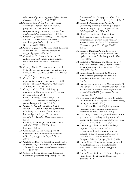subclasses of pattern languages, *Information and Computation*, 218, pp. 17-35, (2012)

- **116.**Chao, D., Sun, D. and Ye, J. First order optimality conditions for mathematical programs with semidefinite cone complementarity constraints, submitted to *Mathematical Programming, Series A,* (2012)
- **117.**Chapuy, G., Bousquet-Melou, M. and Preville-Ratelle, L. Tamari lattices and parking functions: proof of a conjecture of F. Bergeron. *arXiv* (2012).
- **118.**Chapuy, G., De Vos, M., McDonald, J., Mohar, B. and Scheide, D. Packing triangles in weighted graphs. *arXiv* (2012).
- **119.**Chatzidakis, Z., Ghioca, D., Masser, D. and Maurin, G. A function field variant of the Zilber-Pink conjecture. Submitted (2012)
- **120.**Chen, J., Cubitt, T., Harrow, A. and Smith, G. Entanglement can completely defeat quantum noise. *arXiv:* 1109.0540. To appear in *Phys.Rev. Lett.* (2012).
- **121.**Chen, I. and Lee, Y. Coefficients of exponential functions attached to Drinfeld modules of rank *2*. *Manuscripta Mathematica,*  Vol. 139, pp. 123-136 (2012)
- **122.**Chen, I. and Lee, Y. Explicit isogeny theorems for Drinfeld modules. To appear in *Pacific J. Math.* (2012)
- **123.**Chen, I., Kiming, I. and Wiese, G. *On modular Galois representations modulo prime powers*. To appear in *IJNT.* (2012)
- **124.**Cheng, K., Guy, R., Scheidler, R. and Williams, H. Classification and symmetries of a family of continued fractions with bounded period length. To appear in *Journal of the Australian Mathematical Society*. (2012)
- **125.**Clingher, A., Doran, C. and Lewis, J. The 14th Case VHS via K3 Fibrations. Submitted (2012)
- **126.**Cunningham, C. and Kamgarpour, M. Geometrization of continuous characters of Z\_p^\*, to appear in *Pacific. J. Math*. (2012)
- **127.**Cockett, R., Dias, X., Gallagher, J. and Hrubes, P. Timed sets, complexity and computability. *Electronic Notes in Theoretical Computer Science*, pp. 111-131, (2012).

**128.**Cohen, F., Torres-Giese, E. and Adem, A. Commuting elements, simplicial spaces, and filtrations of classifying spaces. *Math. Proc. Camb. Soc.* Vol. 152, issue 01, pp. 91-114 (2012)

- **129.**Cohen, F., Gómez, J. and Adem, A. Commuting elements in central products of special unitary groups. To appear in *Proc. Edinburgh Math. Soc.*, CJO 2012
- **130.**Chui, C., Han, B. and Zhuang, X. A dual-chain approach for bottom-up construction of wavelet filters with any integer dilation, *Applied and Computational Harmonic Analysis*, Vol. 33, pp. 204-225 (2012)
- **131.**Cuntz, J., Deninger, C. and Laca, M. C\* algebras of Toeplitz type associated with algebraic number fields. To appear in *Math. Ann.* (2012)
- **132.**Curien, N., Ménard, L. and Miermont, G. A view from infinity of the Uniform Infinite Planar Quadrangulation. Submitted. *arXiv*: 1201.1052. (2012)
- **133.**Curien, N. and Miermont, G. Uniform infinite planar quadrangulations with a boundary. Submitted. *arXiv*: 1202.5452. (2012)
- **134.**Czumaj, A., Lammersen, C., Monemizadeh, M. and Sohler, C. (1+)-approximation for facility location in data streams. *Proceedings of the 24th Annual ACM-SIAM Symposium on Discrete Algorithms* (2012)
- **135.**Dasgupta, S. and Greenberg, M. L-Invariants and Shimura Curves. *Algebra and Number Theory*, Vol. 6, pp. 455-485, (2012)
- **136.**Davis, C. and Hare, W. Exploiting known structures to approximate normal cones. Submitted to *Math. Oper. Res.* (2012)
- **137.**Dekompe, K., Petrosyan, N. and Adem. A. On generators of crystallographic groups and actions on flat orbifolds. *Journal of Group Theory*, Vol. 15, Issue 4, pp. 553-561, (2012)
- **138.**Dixon, V., Jacobson, M. and Scheidler, R. Improved exponentiation and key agreement in the infrastructure of a real quadratic field. To appear in *Proceedings of Latincrypt 2012*, Lecture Notes in Computer Science, Springer, Berlin (2012)
- **139.**Doran, C. and Clingher, A. Lattice polarized K3 surfaces and Siegel modular forms. *Advances in Mathematics*, Vol. 231, pp. 172-212, (2012)
- **140.**Doran, C. and Whitcher, U. From polygons to string theory. To appear in *Mathematics Magazine* (2012)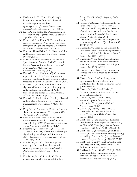**141.**Duchamp, T., Yu, T. and Xie, G. Single basepoint schemes for manifold-valued data: time-symmetry without space-symmetry. *Journal of Foundations of Computational Mathematics*, accepted (2012)

**142.**Duval, C. and Gotay, M. J. Quantization via deformation of prequantization. To appear in *Rep. Math. Phys*. (2013).

**143.**Echterhoff, S. and Laca, M. The primitive ideal space of the regular  $C^*$ -algebra of the affine semigroup of algebraic integers. To appear in *Math. Proc. Cambridge Philos. Soc.* (2012)

**144.**Emerson, H. and Nica, B. Fredholm modules and boundary actions of hyperbolic groups. Preprint, (2012)

**145.**Fallat, S. M. and Nasserasr, S. On the Null Space Structure Associated with Trees and Cycles. Accepted for publication in *Journal of Combinatorial Mathematics and Combinatorial Computing*, (2012)

**146.**Farenick, D. and Kozdron, M.J. Conditional expectation and Bayes' rule for quantum random variables and positive operator valued measures. Preprint. *arXiv*: R/1111.5638. (2012)

**147.**Farenick, D., Kavruk, A. and Paulsen, V. C\* algebras with the weak expectation property and a multivariable analogue of Ando's theorem on the numerical radius. Preprint. *arXiv:* OA/1107.0418. (2012)

**148.**Farenick, D., Plosker, S. and Smith, J. Classical and nonclassical randomness in quantum measurements. To appear in *J. Math. Phys.* (2012)

**149.**Fazly, M. and Ghoussoub, N. On the Henon-Lane-Emden conjecture. To appear in *Disc. Cont. Dyn. Syst. A.* (2013)

**150.**Fortescue, B. and Gour, G. Reducing the quantum communication cost of quantum secret sharing. *IEEE Transactions on Information Theory,* Vol. 58, pp. 6659-6666, (2012)

**151.**Friedlander, M., Mansour, H., Saab, R. and Yilmaz, O. Recovery of compressively sampled signals using partial support information. *IEEE Transaction on Information Theory*, 58, pp. 1122-1134, (2012)

**152.**Friedlander, M. and Orban, D. A primaldual regularized interior-point method for convex quadratic programs. *Mathematical Programming Computation*, pp. 71–107, (2012)

**153.**Friedlander, M. and Schmidt, M. Hybrid deterministic-stochastic methods for data fitting. *SIAM J. Scientific Computing*, 34(3), (2012)

- **154.**Friesen, D., Barakat, K., Semenchenko, V., Perez-Pineiro, R., Fenske, B., Mane, J., Wishart, D. and Tuszynski, J. A. Discovery of small molecule inhibitors that interact with -tubulin. *Chemical Biology & Drug Design*, 79, pp. 639-652, (2012)
- **155.**Gheorghiu, V. Generalized semiquantum secret-sharing schemes. *Physics Review* A 85, 052309 (2012)

**156.**Gheorghiu, V., Coles, P. and Griffiths, R. Consistent histories for tunneling molecules subject to collisional decoherence. *Physical Review* A 86, 042111 (2012)

**157.**Gheorghiu, V. and Gour, G. Multipartite entanglement evolution under separable operations. *Rapid Communications in Physics Review* A 86, 050302 (2012)

**158.**Ghioca, D. and Hsia, L. Torsion points in families of Drinfeld modules. Submitted (2012)

**159.**Ghioca, D. and Scanlon, T. Algebraic equations on the adelic closure of a Drinfeld module. To appear in *Israel Journal of Mathematics.* (2012)

**160.**Ghioca, D., Hsia, L. and Tucker, T. Preperiodic points for families of rational maps. Submitted (2012)

**161.**Ghioca, D., Hsia, L. and Tucker, T. Preperiodic points for families of polynomials. To appear in *Algebra & Number Theory,* (2012)

- **162.**Ghioca, D., Tucker, T, and Zieve, M. Linear relations between polynomial orbits. To appear in *Duke Mathematical Journal,* (2012)
- **163.**Giakkoupis, G. and Sauerwald, T. Rumor spreading and vertex expansion. *Proceedings of the 23rd ACM-SIAM Symposium on Discrete Algorithms (SODA),* pp. 1623-1641, (2012).

**164.**Giakkoupis, G., Sauerwald, T., Sun, H. and Woelfel, P. Low randomness rumor spreading via hashing. *Proc. 29th Int. Symp. on Theoretical Aspects of Computer Science,* pp. 314-325 (2012).

- **165.**Giakkoupis, G and Woelfel, P. On the time and space complexity of randomized Test-And-Set. Submitted. (2012).
- **166.**Giakkoupis, G. and Woelfel, P. Tight RMR lower bounds for randomized mutual exclusion. To appear in *Proc. 44th ACM Symposium on Theory of Computing* (2012).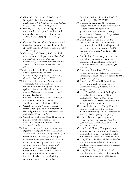**167.**Giladi, O., Naor, A. and Schechtman, G. Bourgain's discretization theorem. *Annales Mathematiques de la faculte des sciences de Toulouse*  vol. XXI, no. 4, pp. 817-837, (2012)

**168.**Goebel, R., Hare, W. and Wang, X. The optimal value and optimal solutions of the proximal average of convex functions. *Nonlinear Anal.* 75(3), pp. 1290–1304, (2012)

**169.**Gonzalez Tokman, C. and Quas, A. A semiinvertible operator Oseledets theorem. To appear in Ergodic Dynamical Systems, *arXiv:*  1105.5609. (2012)

**170.**Gouveia, J. and Thomas, R. Convex hulls of algebraic sets. Chapter in the "*Handbook of Semidefinite, Cone and Polynomial Optimization", International Series in Operations Research & Management Science*, Vol. 166, (2012)

**171.** Gouveia, J., Parrilo, P. and Thomas, R. Lifts of convex sets and cone factorizations, to appear in *Mathematics of Operations Research*, in press (2012)

**172.**Gouveia, J., Laurent, M., Parrilo, P. and Thomas, R. A new hierarchy of semidefinite programming relaxations for cycles in binary matroids and cuts in graphs, *Mathematical Programming*, Series A, pp. 203–225, (2012)

- **173.**Gouveia, J., Robinson, R. and Thomas, R. Polytopes of minimum positive semidefinite rank. Submitted. (2012)
- **174.**Greenberg, M. and Voight, J. Lattice methods for algebraic modular forms on classical groups. Accepted to *Computations with Modular Forms*. (2012)

**175.**Greenberg, M., Seveso, M. and Shahabi, S. p-adic L-functions, p-adic Jacquet-Langlands, and arithmetic applications. Submitted (2012)

**176.**Guay, N. and Ma, X. From quantum loop algebras to Yangians. *Journal of the London Mathematical Society,* Vol. 86, pp. 683-700, (2012)

**177.**Guermond, J. and Minev, P. Start-up ow in a three-dimensional lid-driven cavity by means of a massively parallel direction splitting algorithm. *Int. J. Numer. Meth. Fluids*, Vol. 68, pp. 856-871 (2012)

**178.**Guermond, J., Minev, P. and Salgado, A. Convergence Analysis of a Class of Massively Parallel Direction Splitting Algorithms for the Navier-Stokes

Equations in simple Domains. *Math. Comp*. Vol. 81, pp. 1951-1977 (2012)

- **179.**Gunturk, S., Lammers, M., Powell, A., Saab, R. and Yilmaz, O. Sobolev duals for random frames and sigma-delta quantization of compressed sensing measurements. *Foundation of Computational Mathematics*. In press (2012)
- **180.**Guo, L., Lin, G. and Ye, J. Stability analysis for parametric mathematical programs with equilibrium with geometric constraints and its applications, *SIAM Journal on Optimization*, Vol. 22, pp. 1151- 1176, (2012)
- **181.**Guo, L., Lin, G. and Ye, J. Second order optimality conditions for mathematical programs with equilibrium constraints. *Journal of Optimization and Applications*, in press (2012)
- **182.**Gustafson, S. and Phan, T. Stable directions for degenerate excited states of nonlinear Schroedinger equations. To appear in *SIAM J. of Math. Anal.* (2012).
- **183.**Guy, R. and Williams, H. Some fourth order linear divisibility sequences. *International Journal of Number Theory,* Vol. 07, pp. 1255-1277 (2012)
- **184.**Haas, B. and Miermont, G. Scaling limits of Markov branching trees, With applications to Galton-Watson and random unordered trees. *Ann. Probab*. Vol. 40, n.6, pp. 2589-2666 (2012)
- **185.**Haines, S., Loeppky, J., Tseng, P. and X. Convex relaxations of the weighted maxmin dispersion problem. Submitted to *SIAM Journal of Optimization,* (2012)
- **186.**Han, B. Nonhomogeneous wavelet systems in high dimensions, *Applied and Computational Harmonic Analysis*, Vol. 32, pp. 169-196 (2012)

**187.**Han, B. and Zhuang, X. Algorithms for matrix extension and orthogonal wavelet filter banks over algebraic number fields, *Mathematics of Computation*, accepted (2012).

- **188.**Hare, W. and Macklem, M. Derivative-free optimization methods for finite minimax problems. *Optimization Methods and Software*, in press (2012)
- **189.**Hare, W. and Lucet, Y. Derivative-free optimization via proximal point methods. Submitted to *J. Opt. Theory App.* (2012)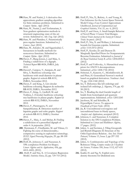**190.**Hare, W. and Nutini, J. A derivative-free approximate gradient sampling algorithm for finite minimax problems. Submitted to *Comput. Optim. Appl.* (2012)

**191.**Hare, W., Nutini, J. and Tesfamariam, S. Non-gradient optimization methods in structural engineering: state-of-the-art review. Submitted to *Adv. Eng. Soft.* (2012)

**192.**Hare, W. and Planiden, C. Parametrically prox-regular functions. Submitted to *J. Convex Anal.* (2012)

**193.**Hare, W., Solodov, M. and Sagastizabal, C. Inexactness in bundle methods for nonconvex functions. Submitted to *Comput. Optim. Appl.* (2012)

**194.**Havet, F., Bang-Jensen, J. and Maia, A. Finding a subdivision of a digraph. *Technical Report* RR-8024, INRIA, July 2012.

**195.**Havet,F., Campos, V., Sampaio, R. and Silva, A. Backbone colouring: tree backbones with small diameter in planar graphs. *Rapport de recherche* RR-8151, INRIA, November 2012.

**196.**Havet, F. and King, A. List circular backbone colouring. Rapport de recherche RR-8159, INRIA, November 2012.

**197.**Havet, F., King, A., Liedloff, M. and Todinca, I. (Circular) backbone colouring: tree backbones in planar graphs. *Rapport de recherche* RR-8152, INRIA, November 2012.

**198.**Havet, F., Paramaguru, N. and Sampathkumar, R. Detection number of bipartite graphs and cubic graphs. *Rapport de recherche* RR-8115, INRIA, October 2012.

**199.**Havet, F.,. Maia, A. and Mohar, B. Finding a subdivision of a prescribed digraph of order 4. *In preparation.* (2012)

**200.** Herrmann, F., Friedlander, M. and Yilmaz, O. Fighting the curse of dimensionality,: compressive sensing in exploration seismology. *IEEE Signal Processing Magazine*, 29, pp. 88-100 (2012)

**201.**Hoff, D., Johnson, C. and Nasserasr, S. TPk completion Problem for Shapes. *Linear Algebra and its Applications*, 436, pp. 4412–4422, (2012).

**202.** Hoff, P. and Niu, X. A Covariance Regression Model. *Statistica Sinica*, 22, pp. 729-753 (2012)

- **203.** Hoff, P., Niu, X., Raferty, A. and Yeung, K. Fast Inference for the Latent Space Network Model Using a Case-Control Approximate Likelihood. *Journal of Computational and Graphical Statistics*, Vol. 21, no. 4, (2012)
- **204.** Hoff, P. and Oron, A. Small-Sample Behavior of Novel Phase 1 Cancer Trial Designs. *Clinical Trials: Journal of the Society for Clinical Trials.* In press. (2012)
- **205.** Hoff, P., Niu, X. and Wellner, J. Information bounds for Gaussian copulas. Submitted. *arXiv*: 1110.3572 (2012)
- **206.** Hoff, P., Kessler, D. and Dunson D. Marginally Specified Priors for Nonparametric Beyesian Estimation. Submitted to *Journal of the Royal Statistical Society B*. *arXiv*: 1204.6505v1 (2012)
- **207.** Hoff, P. and Volfovsky, A. Hierarchical array priors for ANOVA decompositions. Submitted. *arXiv*: 1208.1726 (2012)
- **208.** Hoheisel, T., Kanzow, C., Mordukhovich, B. and Phan, H. Generalized Newton's method based on graphical derivatives. *Nonlinear Anal.*  75, pp. 1324-1340 (2012)
- **209.** Ito, T. Dehornoy-like left orderings and isolated left orderings, J. Algenra, 374, pp. 42- 58 (2013)
- **210.** Ito, T. Reading the dual Garside length of braids from homological and quantum representations. Submitted. *arXiv:* 1205.5245
- **211.** Jacobson, M. and Scheidler, R. Hyperelliptic Curves. To appear in *Handbook of Finite Fields*. (2012)
- **212.** Jia, R. Unconditional convergence and unconditional bases in Hardy spaces, *Analysis and Applications*, accepted (2012)
- **213.** Johnson, C. and Nasserasr, S. Complete Solution to the TP2 Completion Problem. Submitted to *Linear and Multilinear Algebra*, 17 pages. (2012)
- **214.** Julien, A. and Savinien, J. Tiling Groupoids and Bratteli Diagrams II: Structure of the Orbit Equivalence Relation. *Ann. Inst. Henri Poincaré*, Volume 13, Issue 2, pp 297-332 (2012).
- **215.** Julien, A. Combinatorics and Topology of the Robinson Tiling, *Comptes rendues de l'Académie des Sciences,* Volume 350, Issue 1112, 627-631 (2012).
- **216.** Kadiri, H. and Ng, N. Explicit zerodensity theorems for Dedekind zeta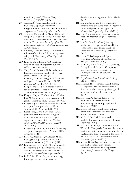functions. *Journal of Number Theory*, Vol.132, pp. 748-775 (2012)

- **217.** Kapron, B., King, V. and Mountjoy, B. Dunamic Graph Connectivity in Polygarithmic Worst Case Time. Submitted to *Symposium on Discrete Algorithms* (2013)
- **218.** Khan, M., Mohamed, S., Marlin, B.M. and Murphy, K. A stick-breaking likelihood for categorical data analysis with latent Gaussian models. To appear in *Proceedings of the 15th International Conference on Artificial Intelligence and Statistics* (2012).
- **219.** Khurana, S. and Thachuk, M. A numerical solution of the linear Boltzmann equation using cubic B-splines, *J. Chem. Phys*. 136, 094103 (2012)
- **220.** King, A. and Edwards, K. A superlocal version of Reed's Conjecture. Submitted *arXiv.* 1208.5188 (2012)
- **221.** King, A. and Edwards, K. Bounding the fractional chromatic number of K<sup>∆</sup> -free graphs. *arXiv.* 1206.2384 (2012)
- **222.** King, A., Lu, L. and Peng, X. A fractional analogue of Brooks' Theroem. *SIAM J. Discrete Math*, pp. 452-471, (2012)
- **223.** King, A. and Reed, B. A short proof that can be bounded away from  $\Delta$  + 1 towards . Submitted *arXiv:* 1211.1410 (2012)
- **224.** King, A., Huynh, T., Oum, S. and Verdian-Rizi, M. Strongly even cycle decomposable graphs. Submitted (2012). *arXiv:* 1209.0160
- **225.** Kitagawa, J. An iterative scheme for solving the optimal transportation problem. Submitted (2012). *arXiv:* 1208.5172
- **226.** Korobenko, L. and Braverman, E. On permanence and stability of a logistic model with harvesting and a carrying capacity dependent diffusion, *Nonlinear Anal. Real World Appl*. Vol. 13, pp.2648- 2658, (2012)
- **227.** Kitagawa, J. and Kim, Y. On the degeneracy of optimal transportation. Preprint (2012). *arXiv*: 1211.6227
- **228.** Laca, M., Raeburn, I., Whittaker, M. and Ramagge, J. Equilibrium and self-similar actions (tentative title). Preprint (2012)
- **229.** Lammersen, C., Schmidt, M. and Sohler, C. Probabilistic *k*-median clustering in data streams. *Proceedings of the 10th Workshop on Approximation and Online Algorithms* (2012)
- **230.** Li, P. A flexible mesh-generation strategy for image representation based on

datadependent triangulation, MSc. Thesis (2012).

- **231.** Lin, G., Xu, M. and Ye, J. On solving simple bilevel programs with a nonconvex lower level program. To appear in *Mathematical Programming, Series A* (2012)
- **232.** Lin, D. and Zhou, J. D-optimal minimax fractional factorial designs. Submitted (2012)
- **233.** Lin, G., Guo, L. and Ye, J. Solving mathematical programs with equilibrium constraints as constrained equations. Submitted to *Mathematics of Computations*. (2012)
- **234.** Lucet, Y. Techniques and Open Questions in Computational Convex Analysis. Submitted (2012)
- **235.** Mann, R., Edwards, R., Zhou, J., Fenney, A., Jog, M. and Duval, C. Comparing movement patterns associated with Huntingtons chorea and Parkinsons dyskinesia.
- **236.** *Experimental Brain Research* Vol. 218, pp. 639–654, (2012)
- **237.** Mansour, H., Herrmann, F. and Yilmaz, O. Improved wavefield reconstruction from randomized sampling via weighted one-norm minimization. Submitted (2012)
- **238.** Marechal, P., Ye, J. and Zhou, J. Koptimal design via semidefinite programming and entropy optimization. Submitted (2012)
- **239.** Marks, C. Fourier coefficients of threedimensional vector-valued modular forms. Submitted (2012)
- **240.** Marks, C. Irreducible vector-valued modular forms of dimension less than six. Submitted (2012)
- **241.** Marlin, B.M., Kale, D., Khemani, R. and Wetzel, R. Unsupervised pattern discovery in electronic health care data using probabilistic clustering models. To appear in *Proceedings of the 2nd ACM SIGHIT International Health Informatics Symposium* (2012).
- **242.** Martin, G. and Ng, N. Nonzero values of Dirichlet L-functions in vertical arithmetic progressions*.* To appear in *International Journal of Number Theory*. (2012)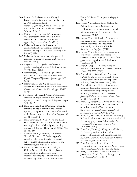**243.** Martin, G., Peilloux, A. and Wong, E. Lower bounds for sumsets of multisets in  $Z_p^2$ . Submitted (2012)

**244.** Martin, G., Pollack, P. and E. Averages of the number of points on elliptic curves. Submitted (2012)

- **245.** Matrin, G. and Pollack, P. The average least character nonresidue and further variations on a theme of Erdös. To appear in *J. London Math. Soc.* (2012)
- **246.** Mellet, A. Fractional diffusion limit for collisional kinetic equations: a moments method. To appear in *Indiana University Math Journal* (2012).
- **247.** Mellet, A. Some mathematical aspects of capillary surfaces. To appear in *Panoramas et syntheses* (2012).

**248.** Meyerovitch, T. Ergodicity of Poisson products and applications. Submitted. *arXiv*: 1107.0520v2 (2012)

- **249.** Meyerovitch, T. Gibbs and equilibrium measures for some families of subshifts. *Ergodic Theory and Dynamical Systems,* pp. 1-20 (2012)
- **250.** Milinovich, M. and Ng, N. A note on a conjecture of Gonek. *Functiones et Approximatio Commentarii Mathematici*, Vol. 46, pp. 177-187 (2012)
- **251.**Mordukhovich, B. and Phan, H. Tangential extremal principle for finite and infinite systems, I: Basic Theory. *Math Program* 136 pp. 3-30, (2012)
- **252.** Mordukhovich, B. and Phan, H. Tangential extremal principle for finite and infinite systems, II: Applications to semi-infinite and multiobjective optimization. *Math Program* 136 pp. 31-63, (2012)
- **253.** Mordukhovich, B., Nam, N. M. and Phan H.M. Variational analysis of marginal function with applications to bilevel programming problems, J. Optim. Theory Appl. 152 (2012), pp. 557-586
- **254.** Nametollahi, E., Kettunen, J., Rosehart, W. and Zinchenko, Y. Reducing profit volatility risks using financial contracts in supply chains with multiple producers and wholesalers, submitted (2012).
- **255.** Nenna, V., Herckenrath, D., Night, R., Odlum, N., and McPhhe, D. Application and evaluation of electromagnetic methods for imaging saltwater intrusion in coastal aquifers: Seaside Groundwater

Basin, California. To appear in *Geophysics* (2012)

- **256.** Nenna, V., Herkenrath, D., Odlum, N., Auken, E. and Bauer-Gottwein P. Calibrating a salt water intrusion model with time-domain electromagnetic data. *Groundwater* (2012)
- **257.** Nenna, V. and Pidlisecky, A. A wavelet analysis approach to determining the impact of surface and subsurface topography on airborne TEM data. Submitted to *Geophysics* (2012)
- **258.** Nenna, V. and Knight, R. Demonstration of a value of information metric for assessing the use of geophysical data for a groundwater application. Submitted to *Geophysics*. (2012)
- **259.** Nica, B. Proper isometric actions of hyperbolic groups on LP – spaces. Submitted. *arXiv*: 1202.2597 (2012)
- **260.** Peacock, S. J., Krkosek, M., Proboszcz, S., Orr, C. and Lewis. M. Cessation of a salmon decline with control of parasites. In Press, *Ecological Applications*. (2012)
- **261.** Peacock, S. J. and Holt, C. Metrics and sampling designs for detecting trends in the distribution of spawning Pacific salmon (*Oncorhynchus* spp.). *Canadian Journal of Fisheries and Aquatic Sciences* 69(4), pp. 681–694, (2012)
- **262.** Phan, M., Bauschke, H., Luke, D. and Wang, X. Restricted normal cones and sparsity optimization with affine constraints. Submitted to *Foundations of Computational Mathematics. arXiv:* 1205.0320 (2012)
- **263.** Phan, M., Bauschke, H., Luke, D. and Wang, X. Restricted normal cones and the method of alternating projections. Submitted to *Set-Valued and Variational Analysis. arXiv:*  1205.0318 (2012)
- **264.** Powell, A., Tanner, J., Wang, Y. and Yilmaz, O. Coarse quantization for random interleaved sampling of bandlimited signals. *ESAIM: Mathematical Modelling and Numerical Analysis,* 46, pp. 605-618 (2012)
- **265.** Powell, A., Saab, R. and Yilmaz, O. Quantization and Finite Frames. *Finite Frames: Theory and Applications.* Pp. 267-302 (2012)
- **266.** Pries, R. and Weir, C. The a-numbers of Jacobians of Suzuki Curves. To appear in *Proceedings of the AMS.* (2012)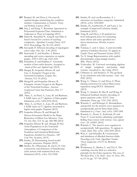- **267.** Rempel, M. and Zhou, J. On exact Koptimal designs minimizing the condition number. *Communications in Statistics: Theory and Methods*, in press (2012)
- **268.** Saia, J. and King, V. Byzantine Agreement in Polynomial Expected Time. Submitted to *Symposium on Theory of Computing* (2013)
- **269.** Samei R., Semukhin P., Yang B. and Zilles S. Sauer's bound for a notion of teaching complexity, *Algorithmic Learning Theory*, ALT 2012. Proceedings. Pp. 96-110, (2012)
- **270.** Sarvepalli, P. Efficient decoding of topological color codes. *Phys. Rev.* A 85 (2012)
- **271.** Sauerwald, T. and Stauffer, A. Rumor spreading and vertex expansion on regular graphs. *SODA 2012*, pp. 1623-1641
- **272.** Semukhin, P. and Stephan, F. Automatic models of first-order theories, Accepted to *Annals of Pure and Applied Logic* (2012).
- **273.** Shizgal, B., Sospedra-Alfonso, R. and Yau, A. Energetic Oxygen in the Terestrial Exosphere, *Geophys. Res. Abstracts*, Vol. 14 (2012)
- **274.** Shizgal B. and Sospedra-Alfonso, R. Energetic Atomic Oxygen in the Region of the Terrestrial Exobase, *American Geophysical Union*, San Francisco, Dec 3-7 (2012)
- **275.** Sims, A., an Huef, A., Laca, M. and Raeburn, I. KMS states on C\*-algebras of finite graphs. Submitted, *arXiv:* 1205.2194 (2012)
- **276.** Sims, A., an Huef, A., Laca, M. and Raeburn, I. KMS states on C\*-algebras associated to higher-rank graphs. Preprint (2012)
- **277.** Sospedra-Alfonso, R. and Shizgal, B. Henyey-Greenstein Model in the Shape Relaxation of Dilute Gas Mixtures, *Trans Th. Stat. Phys*. Vol. 41, pp. 368-388 (2012)
- **278.** Sospedra-Alfonso R. and Shizgal, B. Hot Atom Populations in the Terrestrial Atmosphere; A Comparison of the Nonlinear and Linearized Boltzmann Equations, *Rarefied Gas Dynamics, AIP Conf. Proc*. (in press, 2013).
- **279.** Stanley, D. Determining closed model category structures. Preprint (2012)
- **280.** Stanley, D., Olbermann, M. and Li, H. Oneconnectivity and finiteness of Hamiltonian circle actions with minimal fixed sets. Submitted (2012). *arXiv*: 1211.0920
- **281.** Stanley, D. and van Roosmalen, A. tstructures on hereditary categories. Submitted (2012). *arXiv*: 1202.4803
- **282.** Stanley, D., Lambrechts, P. and Lane, J. An example of improved Lefschetz duality. Submitted (2012).
- **283.** Tang, B. and Zhou, J. D-optimal twolevel orthogonal arrays for estimating main effects and some specified twofactor interactions. *Metrika*, in press (2012)
- **284.** Tokman, C. and A. Quas. A semi-invertible operator Oseledets theorem. To appear in *Ergodic Theory and Dynamical Systems* (2012)
- **285.** Tu, X. Image Representation with explicit discontinuities using triangle meshes, MSc. Thesis (2012).
- **286.** Tvalavadze, M. Universal enveloping algebras of simple symplectic anti-Jordan triple systems. Accepted to *Alg. Colloq.* (2012)
- **287.** Uhlmann, G. and Stefanov, P. The geodesic X-ray transform with fold caustics. *Anal. And PDE* (2012)
- **288.** Wang, Y., Yilmaz, O. and Zhou, Z. Phase aliasing correction for robust blind source separation using DUET. Submitted (2012).
- **289.** Wang, Y., Sanders, B., Bai, B. and Wang, X. Enhanced feedback iterative decoding of sparse quantum codes. *IEEE Trans. Information Theory.* pp. 1231-1241 (2012)
- **290.** Warnick, C. and Holzegel, G. Boundedness and growth for the massive wave equation on asymptotically anti-de Sitter black holes. Submitted to *J. Funct. Anal. arXiv.* 1209.3308
- **291.** Warnick, C., Houri, T., Kubiznak, D. and Yasui, Y. Local metrics admitting a principal Killing-Yano tensor with torsion. *Class. Quant. Grav .* 29, 165001 (2012)
- **292.** Warnick, C. The massive wave equation in asymptotically AdS spacetimes. To appear in *Comm. Math. Phys. arXiv.* 1202.3445 (2012)
- **293.** Weir, C. and Scheidler, R. Construction and tabulation of dihedral function fields. *Proceedings of the Tenth Algorithmic Number Theory Symposium (ANTS-X),* Berkeley (2012)
- **294.** Wiedemann, E., Bardos, C. and Titi, E. The vanishing viscosity limit as a selection principle for the Euler equations: The case of 3D shear flow. *C.R. Math. Acad. Sci. Paris*, 350, no.15-16, pp. 757-760 (2012)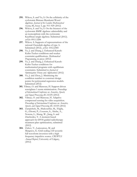- **295.** Wilcox, S. and Yu, S. On the cellularity of the cyclotomic Birman-Murakami-Wenzl algebras. *Journal of the London Mathematical Society*, 86, Issue 3, pp. 911-929 (2012)
- **296.** Wilcox, S. and Yu, S. On the freeness of the cyclotomic BMW algebras: admissibility and an isomorphism with the cyclotomic Kauffman tangle algebras. Submitted (2012). *arXiv*: 0911.5284
- **297.** Wilcox. S. Supports of representations of the rational Cherednik algebra of type A. Submitted (2012). *arXiv*: 1012.2585
- **298.** Ye, J. and Zhang, J. Enhanced Karush-Kuhn-Tucker conditions and weaker constraint qualifications. *Mathematical Programming*, in press (2012)
- **299.** Ye, J. and Zhang, J. Enhanced Karush-Kuhn-Tucker conditions for mathematical programs with equilibrium constraints. Submitted to *Journal of Optimization Theory and Applications* (2012)
- **300.** Ye, J. and Zhou, J. Minimizing the condition number to construct design points for polynomial regression models. Submitted (2012)
- **301.** Yilmaz, O. and Mansour, H. Support driven reweighten 1-norm minimization. *Proceedings of International Conference on Acoustics, Speech, and Signal Processing (ICASSP)* (2012)
- **302.** Yilmaz, O. and Mansour, H. Adaptive compressed sensing for video acquisition. *Proceedings of International Conference on Acoustics, Speech, and Signal Processing (ICASSP)* (2012)
- **303.** Zarepisheh, M., Shakourifar, M., Trigila, G., Ghomi, P., Couzens, S., Abebe, A., Norena, L., Shang, W., Jiang, S. and Zinchenko, Y. A moment-based approach for DVH guided radiotherapy treatment plan optimization, submitted (2012)
- **304.** Zubov, V., Lamoureux, M. and Margrave, G. Grid scaling 2-D acoustic full waveform inversion with a high frequency impulsive source. *CREWES Annual Report*, University of Calgary, (2012)